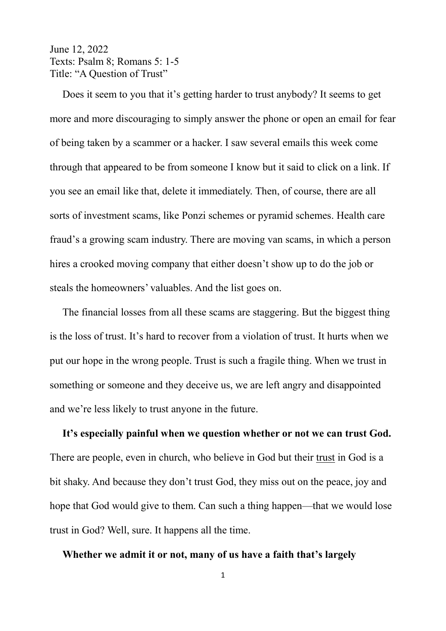## June 12, 2022 Texts: Psalm 8; Romans 5: 1-5 Title: "A Question of Trust"

 Does it seem to you that it's getting harder to trust anybody? It seems to get more and more discouraging to simply answer the phone or open an email for fear of being taken by a scammer or a hacker. I saw several emails this week come through that appeared to be from someone I know but it said to click on a link. If you see an email like that, delete it immediately. Then, of course, there are all sorts of investment scams, like Ponzi schemes or pyramid schemes. Health care fraud's a growing scam industry. There are moving van scams, in which a person hires a crooked moving company that either doesn't show up to do the job or steals the homeowners' valuables. And the list goes on.

 The financial losses from all these scams are staggering. But the biggest thing is the loss of trust. It's hard to recover from a violation of trust. It hurts when we put our hope in the wrong people. Trust is such a fragile thing. When we trust in something or someone and they deceive us, we are left angry and disappointed and we're less likely to trust anyone in the future.

 **It's especially painful when we question whether or not we can trust God.** There are people, even in church, who believe in God but their trust in God is a bit shaky. And because they don't trust God, they miss out on the peace, joy and hope that God would give to them. Can such a thing happen—that we would lose trust in God? Well, sure. It happens all the time.

## **Whether we admit it or not, many of us have a faith that's largely**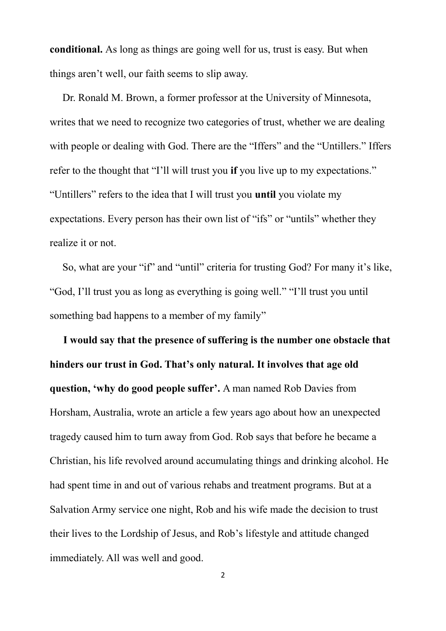**conditional.** As long as things are going well for us, trust is easy. But when things aren't well, our faith seems to slip away.

 Dr. Ronald M. Brown, a former professor at the University of Minnesota, writes that we need to recognize two categories of trust, whether we are dealing with people or dealing with God. There are the "Iffers" and the "Untillers." Iffers refer to the thought that "I'll will trust you **if** you live up to my expectations." "Untillers" refers to the idea that I will trust you **until** you violate my expectations. Every person has their own list of "ifs" or "untils" whether they realize it or not.

 So, what are your "if" and "until" criteria for trusting God? For many it's like, "God, I'll trust you as long as everything is going well." "I'll trust you until something bad happens to a member of my family"

 **I would say that the presence of suffering is the number one obstacle that hinders our trust in God. That's only natural. It involves that age old question, 'why do good people suffer'.** A man named Rob Davies from Horsham, Australia, wrote an article a few years ago about how an unexpected tragedy caused him to turn away from God. Rob says that before he became a Christian, his life revolved around accumulating things and drinking alcohol. He had spent time in and out of various rehabs and treatment programs. But at a Salvation Army service one night, Rob and his wife made the decision to trust their lives to the Lordship of Jesus, and Rob's lifestyle and attitude changed immediately. All was well and good.

2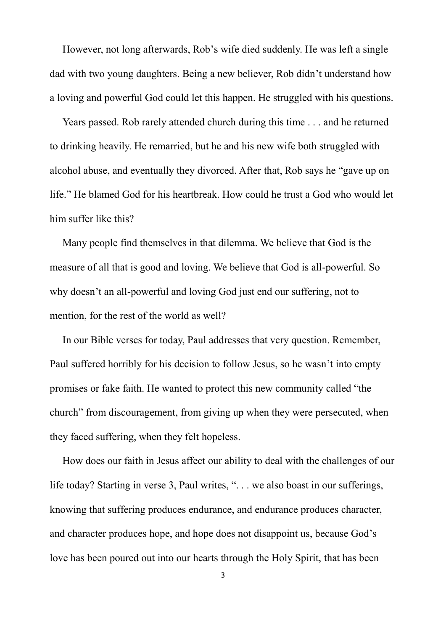However, not long afterwards, Rob's wife died suddenly. He was left a single dad with two young daughters. Being a new believer, Rob didn't understand how a loving and powerful God could let this happen. He struggled with his questions.

 Years passed. Rob rarely attended church during this time . . . and he returned to drinking heavily. He remarried, but he and his new wife both struggled with alcohol abuse, and eventually they divorced. After that, Rob says he "gave up on life." He blamed God for his heartbreak. How could he trust a God who would let him suffer like this?

 Many people find themselves in that dilemma. We believe that God is the measure of all that is good and loving. We believe that God is all-powerful. So why doesn't an all-powerful and loving God just end our suffering, not to mention, for the rest of the world as well?

 In our Bible verses for today, Paul addresses that very question. Remember, Paul suffered horribly for his decision to follow Jesus, so he wasn't into empty promises or fake faith. He wanted to protect this new community called "the church" from discouragement, from giving up when they were persecuted, when they faced suffering, when they felt hopeless.

 How does our faith in Jesus affect our ability to deal with the challenges of our life today? Starting in verse 3, Paul writes, ". . . we also boast in our sufferings, knowing that suffering produces endurance, and endurance produces character, and character produces hope, and hope does not disappoint us, because God's love has been poured out into our hearts through the Holy Spirit, that has been

3